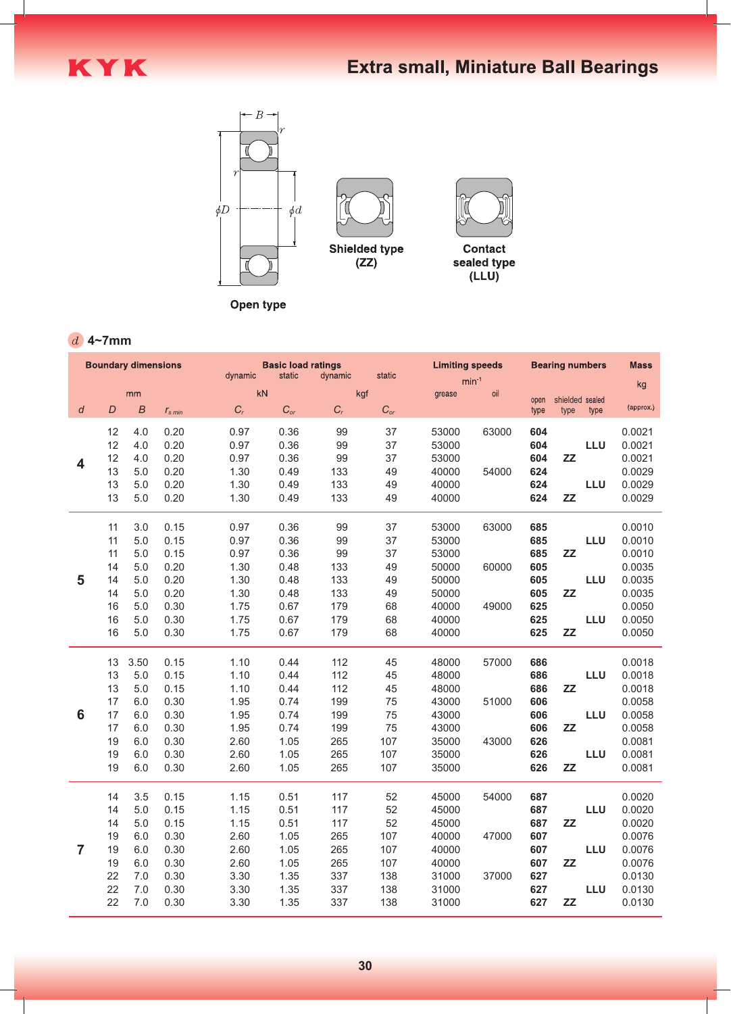

Open type

## **4~7mm**

| <b>Boundary dimensions</b> |    |                  |                  | <b>Basic load ratings</b><br>static<br>dynamic<br>static<br>dynamic |          |       |                   | <b>Limiting speeds</b> |       | <b>Bearing numbers</b> |                 | <b>Mass</b> |           |
|----------------------------|----|------------------|------------------|---------------------------------------------------------------------|----------|-------|-------------------|------------------------|-------|------------------------|-----------------|-------------|-----------|
|                            |    |                  |                  |                                                                     |          |       |                   | $min-1$                |       |                        |                 | kg          |           |
|                            |    | mm               |                  |                                                                     | kN       |       | kgf               | grease                 | oil   | open                   | shielded sealed |             |           |
| $\overline{d}$             | D  | $\boldsymbol{B}$ | $r_{\rm s\,min}$ | $C_r$                                                               | $C_{or}$ | $C_r$ | $C_{\mathit{or}}$ |                        |       | type                   | type            | type        | (approx.) |
|                            | 12 | 4.0              | 0.20             | 0.97                                                                | 0.36     | 99    | 37                | 53000                  | 63000 | 604                    |                 |             | 0.0021    |
|                            | 12 | 4.0              | 0.20             | 0.97                                                                | 0.36     | 99    | 37                | 53000                  |       | 604                    |                 | <b>LLU</b>  | 0.0021    |
|                            | 12 | 4.0              | 0.20             | 0.97                                                                | 0.36     | 99    | 37                | 53000                  |       | 604                    | ZZ              |             | 0.0021    |
| 4                          | 13 | 5.0              | 0.20             | 1.30                                                                | 0.49     | 133   | 49                | 40000                  | 54000 | 624                    |                 |             | 0.0029    |
|                            | 13 | 5.0              | 0.20             | 1.30                                                                | 0.49     | 133   | 49                | 40000                  |       | 624                    |                 | <b>LLU</b>  | 0.0029    |
|                            | 13 | 5.0              | 0.20             | 1.30                                                                | 0.49     | 133   | 49                | 40000                  |       | 624                    | ZZ              |             | 0.0029    |
|                            |    |                  |                  |                                                                     |          |       |                   |                        |       |                        |                 |             |           |
|                            | 11 | 3.0              | 0.15             | 0.97                                                                | 0.36     | 99    | 37                | 53000                  | 63000 | 685                    |                 |             | 0.0010    |
| 5                          |    |                  |                  |                                                                     |          |       |                   |                        |       |                        |                 |             |           |
|                            | 11 | 5.0              | 0.15             | 0.97                                                                | 0.36     | 99    | 37                | 53000                  |       | 685                    |                 | <b>LLU</b>  | 0.0010    |
|                            | 11 | 5.0              | 0.15             | 0.97                                                                | 0.36     | 99    | 37                | 53000                  |       | 685                    | ZZ              |             | 0.0010    |
|                            | 14 | 5.0              | 0.20             | 1.30                                                                | 0.48     | 133   | 49                | 50000                  | 60000 | 605                    |                 |             | 0.0035    |
|                            | 14 | 5.0              | 0.20             | 1.30                                                                | 0.48     | 133   | 49                | 50000                  |       | 605                    |                 | <b>LLU</b>  | 0.0035    |
|                            | 14 | 5.0              | 0.20             | 1.30                                                                | 0.48     | 133   | 49                | 50000                  |       | 605                    | ZZ              |             | 0.0035    |
|                            | 16 | 5.0              | 0.30             | 1.75                                                                | 0.67     | 179   | 68                | 40000                  | 49000 | 625                    |                 |             | 0.0050    |
|                            | 16 | 5.0              | 0.30             | 1.75                                                                | 0.67     | 179   | 68                | 40000                  |       | 625                    |                 | <b>LLU</b>  | 0.0050    |
|                            | 16 | 5.0              | 0.30             | 1.75                                                                | 0.67     | 179   | 68                | 40000                  |       | 625                    | ZZ              |             | 0.0050    |
|                            |    |                  |                  |                                                                     |          |       |                   |                        |       |                        |                 |             |           |
|                            | 13 | 3.50             | 0.15             | 1.10                                                                | 0.44     | 112   | 45                | 48000                  | 57000 | 686                    |                 |             | 0.0018    |
|                            | 13 | 5.0              | 0.15             | 1.10                                                                | 0.44     | 112   | 45                | 48000                  |       | 686                    |                 | <b>LLU</b>  | 0.0018    |
|                            | 13 | 5.0              | 0.15             | 1.10                                                                | 0.44     | 112   | 45                | 48000                  |       | 686                    | <b>ZZ</b>       |             | 0.0018    |
|                            | 17 | 6.0              | 0.30             | 1.95                                                                | 0.74     | 199   | 75                | 43000                  | 51000 | 606                    |                 |             | 0.0058    |
| 6                          | 17 | 6.0              | 0.30             | 1.95                                                                | 0.74     | 199   | 75                | 43000                  |       | 606                    |                 | <b>LLU</b>  | 0.0058    |
|                            | 17 | 6.0              | 0.30             | 1.95                                                                | 0.74     | 199   | 75                | 43000                  |       | 606                    | ZZ              |             | 0.0058    |
|                            | 19 | 6.0              | 0.30             | 2.60                                                                | 1.05     | 265   | 107               | 35000                  | 43000 | 626                    |                 |             | 0.0081    |
|                            | 19 | 6.0              | 0.30             | 2.60                                                                | 1.05     | 265   | 107               | 35000                  |       | 626                    |                 | <b>LLU</b>  | 0.0081    |
|                            | 19 | 6.0              | 0.30             | 2.60                                                                | 1.05     | 265   | 107               | 35000                  |       | 626                    | ZZ              |             | 0.0081    |
|                            |    |                  |                  |                                                                     |          |       |                   |                        |       |                        |                 |             |           |
|                            | 14 | 3.5              | 0.15             | 1.15                                                                | 0.51     | 117   | 52                | 45000                  | 54000 | 687                    |                 |             | 0.0020    |
|                            | 14 | 5.0              | 0.15             | 1.15                                                                | 0.51     | 117   | 52                | 45000                  |       | 687                    |                 | <b>LLU</b>  | 0.0020    |
|                            | 14 | 5.0              | 0.15             | 1.15                                                                | 0.51     | 117   | 52                | 45000                  |       | 687                    | ZZ              |             | 0.0020    |
|                            | 19 | 6.0              | 0.30             | 2.60                                                                | 1.05     | 265   | 107               | 40000                  | 47000 | 607                    |                 |             | 0.0076    |
| $\overline{7}$             | 19 | 6.0              | 0.30             | 2.60                                                                | 1.05     | 265   | 107               | 40000                  |       | 607                    |                 | <b>LLU</b>  | 0.0076    |
|                            | 19 | 6.0              | 0.30             | 2.60                                                                | 1.05     | 265   | 107               | 40000                  |       | 607                    | ZZ              |             | 0.0076    |
|                            | 22 | 7.0              | 0.30             | 3.30                                                                | 1.35     | 337   | 138               | 31000                  | 37000 | 627                    |                 |             | 0.0130    |
|                            | 22 | 7.0              | 0.30             | 3.30                                                                | 1.35     | 337   | 138               | 31000                  |       | 627                    |                 | <b>LLU</b>  | 0.0130    |
|                            | 22 | 7.0              | 0.30             | 3.30                                                                | 1.35     | 337   | 138               | 31000                  |       | 627                    | ZZ              |             | 0.0130    |
|                            |    |                  |                  |                                                                     |          |       |                   |                        |       |                        |                 |             |           |